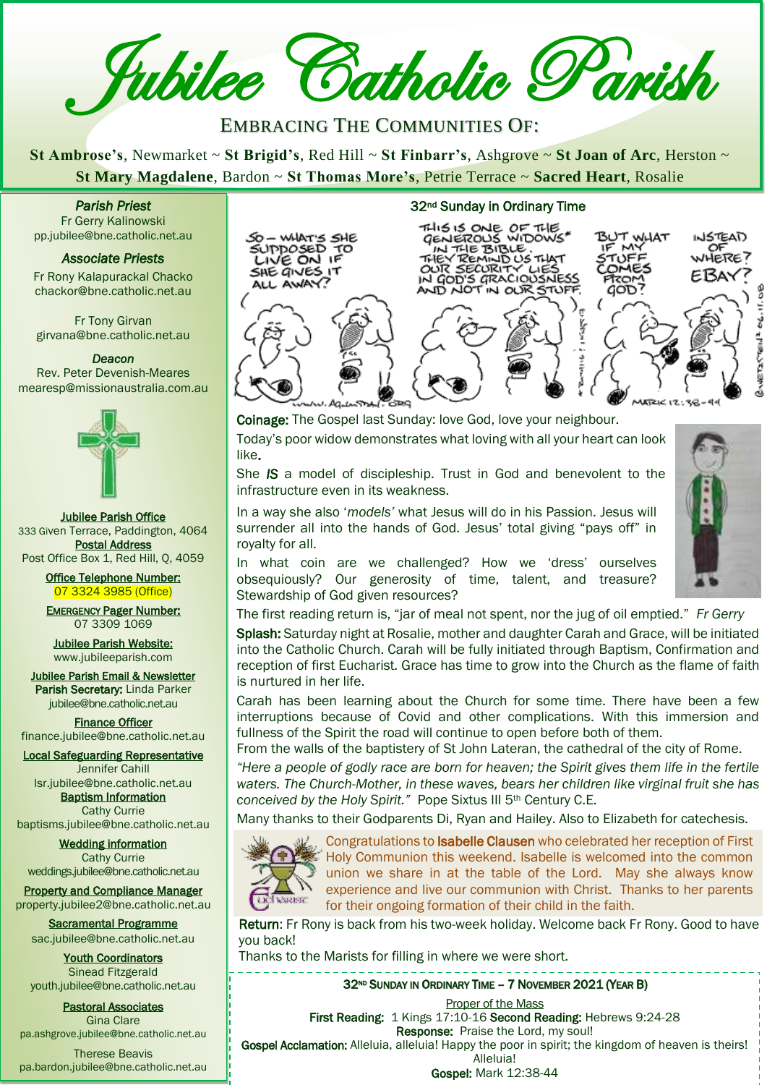**Z** Jubilee Catholic Parish

EMBRACING THE COMMUNITIES OF:

**St Ambrose's**, Newmarket ~ **St Brigid's**, Red Hill ~ **St Finbarr's**, Ashgrove ~ **St Joan of Arc**, Herston ~ **St Mary Magdalene**, Bardon ~ **St Thomas More's**, Petrie Terrace ~ **Sacred Heart**, Rosalie

*Parish Priest*  Fr Gerry Kalinowski

pp.jubilee@bne.catholic.net.au

## *Associate Priests*

Fr Rony Kalapurackal Chacko chackor@bne.catholic.net.au

Fr Tony Girvan girvana@bne.catholic.net.au

## *Deacon*

Rev. Peter Devenish-Meares mearesp@missionaustralia.com.au



Jubilee Parish Office 333 Given Terrace, Paddington, 4064 Postal Address Post Office Box 1, Red Hill, Q, 4059

> Office Telephone Number: 07 3324 3985 (Office)

> EMERGENCY Pager Number: 07 3309 1069

Jubilee Parish Website: [www.jubileeparish.com](http://www.jubileeparish.com/)

Jubilee Parish Email & Newsletter Parish Secretary: Linda Parker [jubilee@bne.catholic.net.au](mailto:jubilee@bne.catholic.net.au)

Finance Officer [finance.jubilee@bne.catholic.net.au](mailto:finance.jubilee@bne.catholic.net.au)

Local Safeguarding Representative Jennifer Cahill

[lsr.jubilee@bne.catholic.net.au](mailto:lsr.jubilee@bne.catholic.net.au) **Baptism Information** 

Cathy Currie [baptisms.jubilee@bne.catholic.net.au](mailto:baptisms.jubilee@bne.catholic.net.au)

Wedding information Cathy Currie [weddings.jubilee@bne.catholic.net.au](mailto:weddings.jubilee@bne.catholic.net.au)

Property and Compliance Manager property.jubilee2@bne.catholic.net.au

Sacramental Programme [sac.jubilee@bne.catholic.net.au](mailto:sac.jubilee@bne.catholic.net.au)

Youth Coordinators Sinead Fitzgerald [youth.jubilee@bne.catholic.net.au](mailto:youth.jubilee@bne.catholic.net.au)

Pastoral Associates Gina Clare [pa.ashgrove.jubilee@bne.catholic.net.au](mailto:pa.ashgrove.jubilee@bne.catholic.net.au)

Therese Beavis pa.bardon.jubilee@bne.catholic.net.au

## 32nd Sunday in Ordinary Time CO - WHAT'S SHE THIS IS ONE OF THE<br>
CALIFY TO THE BIBLE.<br>
CATHE BIBLE. IF MY<br>
CIVE ON IF THEY REMIND US THAT STUFF<br>
CALIFY TOUR SECURITY USS COMES<br>
ALL AWAY? IN GOD'S GRACIOUSNESS FROM<br>
AND NOT IN OUR STUFF GOD? **1476AN** HERE EBAY l Ī  $\overline{\phantom{a}}$  $\overline{a}$  $MSE1612$

Coinage: The Gospel last Sunday: love God, love your neighbour. Today's poor widow demonstrates what loving with all your heart can look

like. She *IS* a model of discipleship. Trust in God and benevolent to the infrastructure even in its weakness.

In a way she also '*models'* what Jesus will do in his Passion. Jesus will surrender all into the hands of God. Jesus' total giving "pays off" in royalty for all.

In what coin are we challenged? How we 'dress' ourselves obsequiously? Our generosity of time, talent, and treasure? Stewardship of God given resources?

The first reading return is, "jar of meal not spent, nor the jug of oil emptied." *Fr Gerry*

Splash: Saturday night at Rosalie, mother and daughter Carah and Grace, will be initiated into the Catholic Church. Carah will be fully initiated through Baptism, Confirmation and reception of first Eucharist. Grace has time to grow into the Church as the flame of faith is nurtured in her life.

Carah has been learning about the Church for some time. There have been a few interruptions because of Covid and other complications. With this immersion and fullness of the Spirit the road will continue to open before both of them.

From the walls of the baptistery of St John Lateran, the cathedral of the city of Rome.

*"Here a people of godly race are born for heaven; the Spirit gives them life in the fertile waters. The Church-Mother, in these waves, bears her children like virginal fruit she has conceived by the Holy Spirit."* Pope Sixtus III 5th Century C.E.

Many thanks to their Godparents Di, Ryan and Hailey. Also to Elizabeth for catechesis.



 experience and live our communion with Christ. Thanks to her parents for their ongoing formation of their child in the faith. Congratulations to Isabelle Clausen who celebrated her reception of First Holy Communion this weekend. Isabelle is welcomed into the common union we share in at the table of the Lord. May she always know

Return: Fr Rony is back from his two-week holiday. Welcome back Fr Rony. Good to have you back! **Return**: Friendy is back from the two-week holiday. Welcome back Fr Rony. Good to ha<br>VOLI back! .

Thanks to the Marists for filling in where we were short.

32<sup>ND</sup> SUNDAY IN ORDINARY TIME – 7 NOVEMBER 2021 (YEAR B)

**Proper of the Mass** 

First Reading: 1 Kings 17:10-16 Second Reading: Hebrews 9:24-28 Response: Praise the Lord, my soul!

Gospel Acclamation: Alleluia, alleluia! Happy the poor in spirit; the kingdom of heaven is theirs! Alleluia!

Gospel: Mark 12:38-44

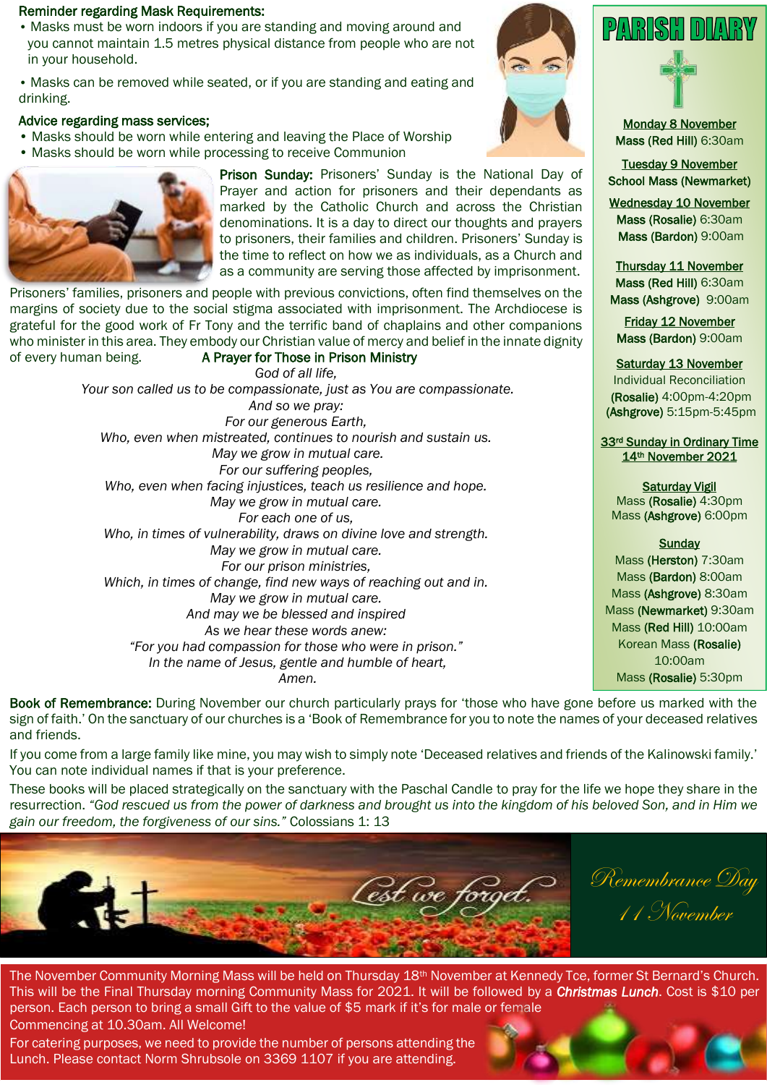## Reminder regarding Mask Requirements:

• Masks must be worn indoors if you are standing and moving around and you cannot maintain 1.5 metres physical distance from people who are not in your household.

• Masks can be removed while seated, or if you are standing and eating and drinking.

## Advice regarding mass services;

- Masks should be worn while entering and leaving the Place of Worship
- Masks should be worn while processing to receive Communion



Prison Sunday: Prisoners' Sunday is the National Day of Prayer and action for prisoners and their dependants as marked by the Catholic Church and across the Christian denominations. It is a day to direct our thoughts and prayers to prisoners, their families and children. Prisoners' Sunday is the time to reflect on how we as individuals, as a Church and as a community are serving those affected by imprisonment.

Prisoners' families, prisoners and people with previous convictions, often find themselves on the margins of society due to the social stigma associated with imprisonment. The Archdiocese is grateful for the good work of Fr Tony and the terrific band of chaplains and other companions who minister in this area. They embody our Christian value of mercy and belief in the innate dignity of every human being. A Prayer for Those in Prison Ministry

> *God of all life, Your son called us to be compassionate, just as You are compassionate. And so we pray: For our generous Earth, Who, even when mistreated, continues to nourish and sustain us. May we grow in mutual care. For our suffering peoples, Who, even when facing injustices, teach us resilience and hope. May we grow in mutual care. For each one of us, Who, in times of vulnerability, draws on divine love and strength. May we grow in mutual care. For our prison ministries, Which, in times of change, find new ways of reaching out and in. May we grow in mutual care. And may we be blessed and inspired As we hear these words anew: "For you had compassion for those who were in prison." In the name of Jesus, gentle and humble of heart, Amen.*





Monday 8 November Mass (Red Hill) 6:30am

Tuesday 9 November School Mass (Newmarket)

Wednesday 10 November Mass (Rosalie) 6:30am Mass (Bardon) 9:00am

Thursday 11 November Mass (Red Hill) 6:30am Mass (Ashgrove) 9:00am

Friday 12 November Mass (Bardon) 9:00am

Saturday 13 November

Individual Reconciliation (Rosalie) 4:00pm-4:20pm (Ashgrove) 5:15pm-5:45pm

33rd Sunday in Ordinary Time 14th November 2021

## Saturday Vigil

Mass (Rosalie) 4:30pm Mass (Ashgrove) 6:00pm

## **Sunday**

Mass (Herston) 7:30am Mass (Bardon) 8:00am Mass (Ashgrove) 8:30am Mass (Newmarket) 9:30am Mass (Red Hill) 10:00am Korean Mass (Rosalie) 10:00am Mass (Rosalie) 5:30pm

Book of Remembrance: During November our church particularly prays for 'those who have gone before us marked with the sign of faith.' On the sanctuary of our churches is a 'Book of Remembrance for you to note the names of your deceased relatives and friends.

If you come from a large family like mine, you may wish to simply note 'Deceased relatives and friends of the Kalinowski family.' You can note individual names if that is your preference.

These books will be placed strategically on the sanctuary with the Paschal Candle to pray for the life we hope they share in the resurrection. *"God rescued us from the power of darkness and brought us into the kingdom of his beloved Son, and in Him we gain our freedom, the forgiveness of our sins."* Colossians 1: 13



Remembrance Day 11 November

The November Community Morning Mass will be held on Thursday 18<sup>th</sup> November at Kennedy Tce, former St Bernard's Church. This will be the Final Thursday morning Community Mass for 2021. It will be followed by a *Christmas Lunch*. Cost is \$10 per person. Each person to bring a small Gift to the value of \$5 mark if it's for male or female Commencing at 10.30am. All Welcome!

For catering purposes, we need to provide the number of persons attending the Lunch. Please contact Norm Shrubsole on 3369 1107 if you are attending.

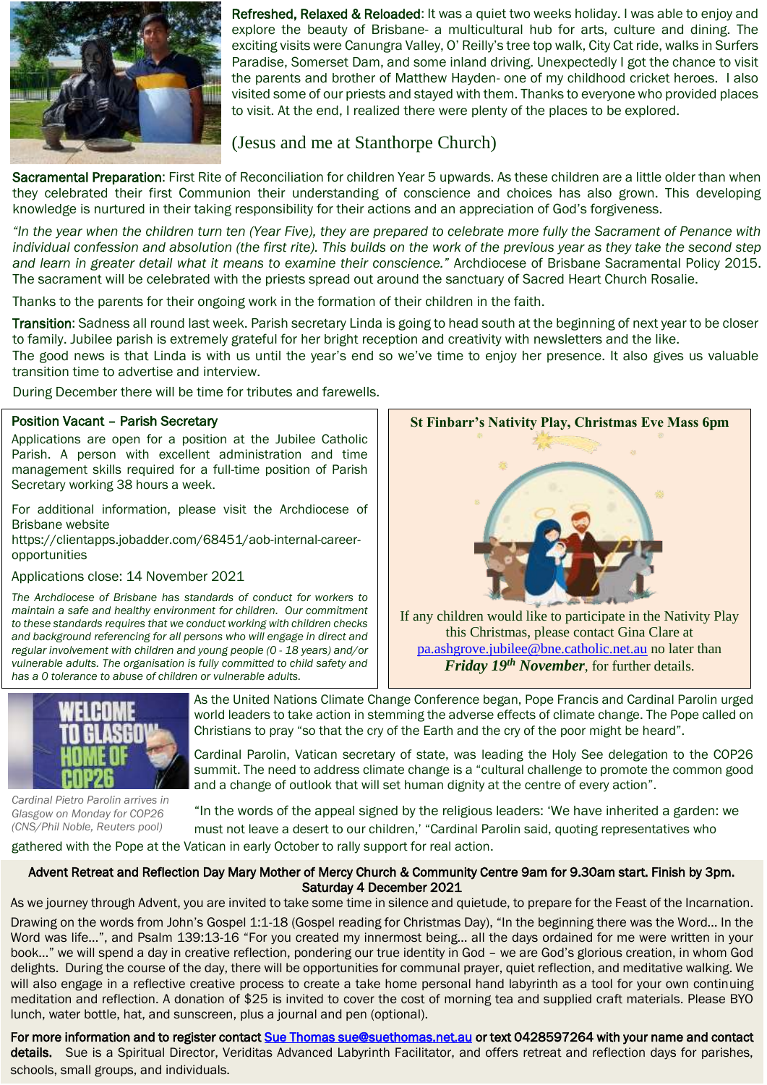

Refreshed, Relaxed & Reloaded: It was a quiet two weeks holiday. I was able to enjoy and explore the beauty of Brisbane- a multicultural hub for arts, culture and dining. The exciting visits were Canungra Valley, O' Reilly's tree top walk, City Cat ride, walks in Surfers Paradise, Somerset Dam, and some inland driving. Unexpectedly I got the chance to visit the parents and brother of Matthew Hayden- one of my childhood cricket heroes. I also visited some of our priests and stayed with them. Thanks to everyone who provided places to visit. At the end, I realized there were plenty of the places to be explored.

## (Jesus and me at Stanthorpe Church)

Sacramental Preparation: First Rite of Reconciliation for children Year 5 upwards. As these children are a little older than when they celebrated their first Communion their understanding of conscience and choices has also grown. This developing knowledge is nurtured in their taking responsibility for their actions and an appreciation of God's forgiveness.

*"In the year when the children turn ten (Year Five), they are prepared to celebrate more fully the Sacrament of Penance with*  individual confession and absolution (the first rite). This builds on the work of the previous year as they take the second step *and learn in greater detail what it means to examine their conscience."* Archdiocese of Brisbane Sacramental Policy 2015. The sacrament will be celebrated with the priests spread out around the sanctuary of Sacred Heart Church Rosalie.

Thanks to the parents for their ongoing work in the formation of their children in the faith. Š

Transition: Sadness all round last week. Parish secretary Linda is going to head south at the beginning of next year to be closer to family. Jubilee parish is extremely grateful for her bright reception and creativity with newsletters and the like.

The good news is that Linda is with us until the year's end so we've time to enjoy her presence. It also gives us valuable transition time to advertise and interview.  $U$ understanding of conscience and choices has also grown. This developing  $\mathcal{U}$ 

During December there will be time for tributes and farewells.

### Position Vacant – Parish Secretary forgiveness.

 Parish. A person with excellent administration and time Applications are open for a position at the Jubilee Catholic *the Sacrament of Penance with individual confession and absolution (the first rite). This*  management skills required for a full-time position of Parish *builds on the work of the previous year as they take the second step and learn in greater*  Secretary working 38 hours a week.

For additional information, please visit the Archdiocese of  $\vert \vert$ Brisbane website

Brisbarie website<br>https://clientapps.jobadder.com/68451/aob-internal-careeropportunities

*maintain a safe and healthy environment for children. Our commitment*  to these standards requires that we conduct working with children checks | *and background referencing for all persons who will engage in direct and regular involvement with children and young people (0 - 18 years) and/or vulnerable adults. The organisation is fully committed to child safety and has a 0 tolerance to abuse of children or vulnerable adults.* the Archalocese of Brisbane has standards of contract to a control of the children interview.



this Christmas, please contact Gina Clare at [pa.ashgrove.jubilee@bne.catholic.net.au](mailto:pa.ashgrove.jubilee@bne.catholic.net.au) no later than *Friday 19th November*, for further details.



*.*

í

As the United Nations Climate Change Conference began, Pope Francis and Cardinal Parolin urged world leaders to take action in stemming the adverse effects of climate change. The Pope called on Christians to pray "so that the cry of the Earth and the cry of the poor might be heard".

Cardinal Parolin, Vatican secretary of state, was leading the Holy See delegation to the COP26 summit. The need to address climate change is a "cultural challenge to promote the common good and a change of outlook that will set human dignity at the centre of every action".

*[Cardinal](https://cathnews.com/images/images/2021/1103paro-Cardinal_Pietro_Parolin_arrives_in_Glasgow_Scotland_for_COP26_on_Nov1-CNS-Phil_Noble-Reuters_pool.jpg) Pietro Parolin arrives in Glasgow on Monday for COP26 (CNS/Phil Noble, Reuters pool)*

"In the words of the appeal signed by the religious leaders: 'We have inherited a garden: we must not leave a desert to our children,' "Cardinal Parolin said, quoting representatives who

gathered with the Pope at the Vatican in early October to rally support for real action.

## Advent Retreat and Reflection Day Mary Mother of Mercy Church & Community Centre 9am for 9.30am start. Finish by 3pm. Saturday 4 December 2021

As we journey through Advent, you are invited to take some time in silence and quietude, to prepare for the Feast of the Incarnation.

Drawing on the words from John's Gospel 1:1-18 (Gospel reading for Christmas Day), "In the beginning there was the Word… In the Word was life…", and Psalm 139:13-16 "For you created my innermost being… all the days ordained for me were written in your book…" we will spend a day in creative reflection, pondering our true identity in God – we are God's glorious creation, in whom God delights. During the course of the day, there will be opportunities for communal prayer, quiet reflection, and meditative walking. We will also engage in a reflective creative process to create a take home personal hand labyrinth as a tool for your own continuing meditation and reflection. A donation of \$25 is invited to cover the cost of morning tea and supplied craft materials. Please BYO lunch, water bottle, hat, and sunscreen, plus a journal and pen (optional).

For more information and to register contact Sue Thomas sue@suethomas.net.au or text 0428597264 with your name and contact details. Sue is a Spiritual Director, Veriditas Advanced Labyrinth Facilitator, and offers retreat and reflection days for parishes, schools, small groups, and individuals.